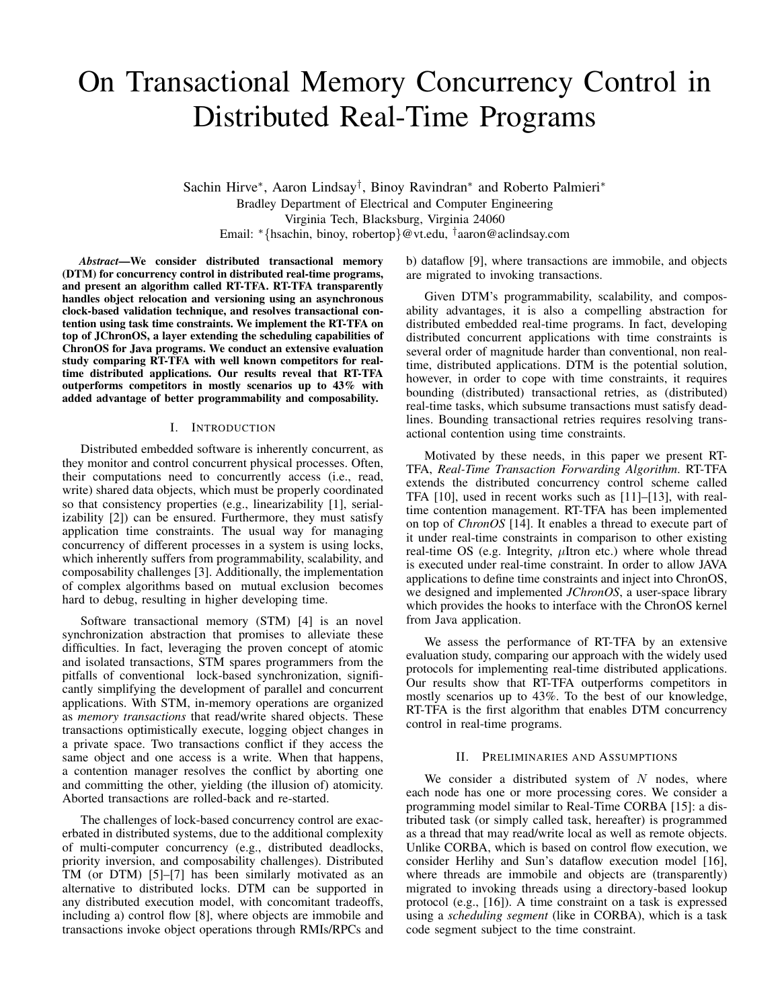# On Transactional Memory Concurrency Control in Distributed Real-Time Programs

Sachin Hirve<sup>∗</sup>, Aaron Lindsay<sup>†</sup>, Binoy Ravindran<sup>∗</sup> and Roberto Palmieri<sup>∗</sup> Bradley Department of Electrical and Computer Engineering Virginia Tech, Blacksburg, Virginia 24060 Email: <sup>∗</sup>{hsachin, binoy, robertop}@vt.edu, † aaron@aclindsay.com

*Abstract*—We consider distributed transactional memory (DTM) for concurrency control in distributed real-time programs, and present an algorithm called RT-TFA. RT-TFA transparently handles object relocation and versioning using an asynchronous clock-based validation technique, and resolves transactional contention using task time constraints. We implement the RT-TFA on top of JChronOS, a layer extending the scheduling capabilities of ChronOS for Java programs. We conduct an extensive evaluation study comparing RT-TFA with well known competitors for realtime distributed applications. Our results reveal that RT-TFA outperforms competitors in mostly scenarios up to 43% with added advantage of better programmability and composability.

## I. INTRODUCTION

Distributed embedded software is inherently concurrent, as they monitor and control concurrent physical processes. Often, their computations need to concurrently access (i.e., read, write) shared data objects, which must be properly coordinated so that consistency properties (e.g., linearizability [1], serializability [2]) can be ensured. Furthermore, they must satisfy application time constraints. The usual way for managing concurrency of different processes in a system is using locks, which inherently suffers from programmability, scalability, and composability challenges [3]. Additionally, the implementation of complex algorithms based on mutual exclusion becomes hard to debug, resulting in higher developing time.

Software transactional memory (STM) [4] is an novel synchronization abstraction that promises to alleviate these difficulties. In fact, leveraging the proven concept of atomic and isolated transactions, STM spares programmers from the pitfalls of conventional lock-based synchronization, significantly simplifying the development of parallel and concurrent applications. With STM, in-memory operations are organized as *memory transactions* that read/write shared objects. These transactions optimistically execute, logging object changes in a private space. Two transactions conflict if they access the same object and one access is a write. When that happens, a contention manager resolves the conflict by aborting one and committing the other, yielding (the illusion of) atomicity. Aborted transactions are rolled-back and re-started.

The challenges of lock-based concurrency control are exacerbated in distributed systems, due to the additional complexity of multi-computer concurrency (e.g., distributed deadlocks, priority inversion, and composability challenges). Distributed TM (or DTM) [5]–[7] has been similarly motivated as an alternative to distributed locks. DTM can be supported in any distributed execution model, with concomitant tradeoffs, including a) control flow [8], where objects are immobile and transactions invoke object operations through RMIs/RPCs and b) dataflow [9], where transactions are immobile, and objects are migrated to invoking transactions.

Given DTM's programmability, scalability, and composability advantages, it is also a compelling abstraction for distributed embedded real-time programs. In fact, developing distributed concurrent applications with time constraints is several order of magnitude harder than conventional, non realtime, distributed applications. DTM is the potential solution, however, in order to cope with time constraints, it requires bounding (distributed) transactional retries, as (distributed) real-time tasks, which subsume transactions must satisfy deadlines. Bounding transactional retries requires resolving transactional contention using time constraints.

Motivated by these needs, in this paper we present RT-TFA, *Real-Time Transaction Forwarding Algorithm*. RT-TFA extends the distributed concurrency control scheme called TFA [10], used in recent works such as [11]–[13], with realtime contention management. RT-TFA has been implemented on top of *ChronOS* [14]. It enables a thread to execute part of it under real-time constraints in comparison to other existing real-time OS (e.g. Integrity,  $\mu$ Itron etc.) where whole thread is executed under real-time constraint. In order to allow JAVA applications to define time constraints and inject into ChronOS, we designed and implemented *JChronOS*, a user-space library which provides the hooks to interface with the ChronOS kernel from Java application.

We assess the performance of RT-TFA by an extensive evaluation study, comparing our approach with the widely used protocols for implementing real-time distributed applications. Our results show that RT-TFA outperforms competitors in mostly scenarios up to 43%. To the best of our knowledge, RT-TFA is the first algorithm that enables DTM concurrency control in real-time programs.

#### II. PRELIMINARIES AND ASSUMPTIONS

We consider a distributed system of  $N$  nodes, where each node has one or more processing cores. We consider a programming model similar to Real-Time CORBA [15]: a distributed task (or simply called task, hereafter) is programmed as a thread that may read/write local as well as remote objects. Unlike CORBA, which is based on control flow execution, we consider Herlihy and Sun's dataflow execution model [16], where threads are immobile and objects are (transparently) migrated to invoking threads using a directory-based lookup protocol (e.g., [16]). A time constraint on a task is expressed using a *scheduling segment* (like in CORBA), which is a task code segment subject to the time constraint.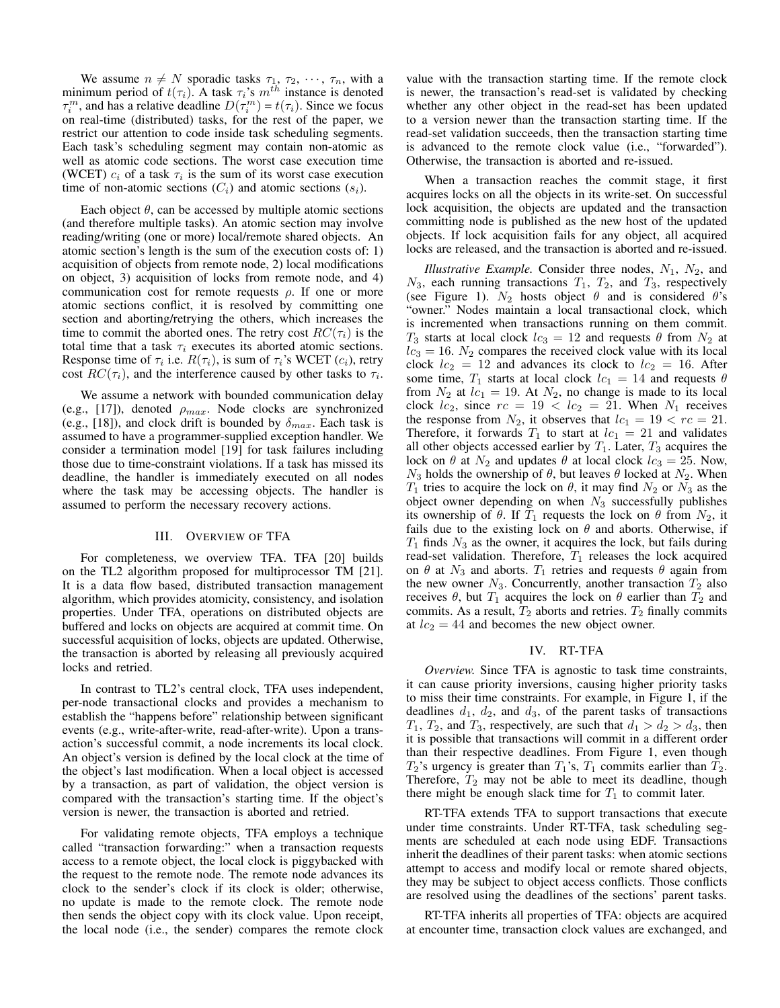We assume  $n \neq N$  sporadic tasks  $\tau_1, \tau_2, \dots, \tau_n$ , with a minimum period of  $t(\tau_i)$ . A task  $\tau_i$ 's  $m^{th}$  instance is denoted  $\tau_i^m$ , and has a relative deadline  $D(\tau_i^m) = t(\tau_i)$ . Since we focus on real-time (distributed) tasks, for the rest of the paper, we restrict our attention to code inside task scheduling segments. Each task's scheduling segment may contain non-atomic as well as atomic code sections. The worst case execution time (WCET)  $c_i$  of a task  $\tau_i$  is the sum of its worst case execution time of non-atomic sections  $(C_i)$  and atomic sections  $(s_i)$ .

Each object  $\theta$ , can be accessed by multiple atomic sections (and therefore multiple tasks). An atomic section may involve reading/writing (one or more) local/remote shared objects. An atomic section's length is the sum of the execution costs of: 1) acquisition of objects from remote node, 2) local modifications on object, 3) acquisition of locks from remote node, and 4) communication cost for remote requests  $\rho$ . If one or more atomic sections conflict, it is resolved by committing one section and aborting/retrying the others, which increases the time to commit the aborted ones. The retry cost  $RC(\tau_i)$  is the total time that a task  $\tau_i$  executes its aborted atomic sections. Response time of  $\tau_i$  i.e.  $R(\tau_i)$ , is sum of  $\tau_i$ 's WCET  $(c_i)$ , retry cost  $RC(\tau_i)$ , and the interference caused by other tasks to  $\tau_i$ .

We assume a network with bounded communication delay (e.g., [17]), denoted  $\rho_{max}$ . Node clocks are synchronized (e.g., [18]), and clock drift is bounded by  $\delta_{max}$ . Each task is assumed to have a programmer-supplied exception handler. We consider a termination model [19] for task failures including those due to time-constraint violations. If a task has missed its deadline, the handler is immediately executed on all nodes where the task may be accessing objects. The handler is assumed to perform the necessary recovery actions.

#### III. OVERVIEW OF TFA

For completeness, we overview TFA. TFA [20] builds on the TL2 algorithm proposed for multiprocessor TM [21]. It is a data flow based, distributed transaction management algorithm, which provides atomicity, consistency, and isolation properties. Under TFA, operations on distributed objects are buffered and locks on objects are acquired at commit time. On successful acquisition of locks, objects are updated. Otherwise, the transaction is aborted by releasing all previously acquired locks and retried.

In contrast to TL2's central clock, TFA uses independent, per-node transactional clocks and provides a mechanism to establish the "happens before" relationship between significant events (e.g., write-after-write, read-after-write). Upon a transaction's successful commit, a node increments its local clock. An object's version is defined by the local clock at the time of the object's last modification. When a local object is accessed by a transaction, as part of validation, the object version is compared with the transaction's starting time. If the object's version is newer, the transaction is aborted and retried.

For validating remote objects, TFA employs a technique called "transaction forwarding:" when a transaction requests access to a remote object, the local clock is piggybacked with the request to the remote node. The remote node advances its clock to the sender's clock if its clock is older; otherwise, no update is made to the remote clock. The remote node then sends the object copy with its clock value. Upon receipt, the local node (i.e., the sender) compares the remote clock

value with the transaction starting time. If the remote clock is newer, the transaction's read-set is validated by checking whether any other object in the read-set has been updated to a version newer than the transaction starting time. If the read-set validation succeeds, then the transaction starting time is advanced to the remote clock value (i.e., "forwarded"). Otherwise, the transaction is aborted and re-issued.

When a transaction reaches the commit stage, it first acquires locks on all the objects in its write-set. On successful lock acquisition, the objects are updated and the transaction committing node is published as the new host of the updated objects. If lock acquisition fails for any object, all acquired locks are released, and the transaction is aborted and re-issued.

*Illustrative Example.* Consider three nodes,  $N_1$ ,  $N_2$ , and  $N_3$ , each running transactions  $T_1$ ,  $T_2$ , and  $T_3$ , respectively (see Figure 1).  $N_2$  hosts object  $\theta$  and is considered  $\theta$ 's "owner." Nodes maintain a local transactional clock, which is incremented when transactions running on them commit.  $T_3$  starts at local clock  $lc_3 = 12$  and requests  $\theta$  from  $N_2$  at  $lc<sub>3</sub> = 16$ . N<sub>2</sub> compares the received clock value with its local clock  $lc_2 = 12$  and advances its clock to  $lc_2 = 16$ . After some time,  $T_1$  starts at local clock  $lc_1 = 14$  and requests  $\theta$ from  $N_2$  at  $lc_1 = 19$ . At  $N_2$ , no change is made to its local clock  $lc_2$ , since  $rc = 19 < lc_2 = 21$ . When  $N_1$  receives the response from  $N_2$ , it observes that  $lc_1 = 19 < rc = 21$ . Therefore, it forwards  $T_1$  to start at  $lc_1 = 21$  and validates all other objects accessed earlier by  $T_1$ . Later,  $T_3$  acquires the lock on  $\theta$  at  $N_2$  and updates  $\theta$  at local clock  $lc_3 = 25$ . Now,  $N_3$  holds the ownership of  $\theta$ , but leaves  $\theta$  locked at  $N_2$ . When  $T_1$  tries to acquire the lock on  $\theta$ , it may find  $N_2$  or  $N_3$  as the object owner depending on when  $N_3$  successfully publishes its ownership of  $\theta$ . If  $T_1$  requests the lock on  $\theta$  from  $N_2$ , it fails due to the existing lock on  $\theta$  and aborts. Otherwise, if  $T_1$  finds  $N_3$  as the owner, it acquires the lock, but fails during read-set validation. Therefore,  $T_1$  releases the lock acquired on  $\theta$  at  $N_3$  and aborts.  $T_1$  retries and requests  $\theta$  again from the new owner  $N_3$ . Concurrently, another transaction  $T_2$  also receives  $\theta$ , but  $T_1$  acquires the lock on  $\theta$  earlier than  $T_2$  and commits. As a result,  $T_2$  aborts and retries.  $T_2$  finally commits at  $lc_2 = 44$  and becomes the new object owner.

### IV. RT-TFA

*Overview.* Since TFA is agnostic to task time constraints, it can cause priority inversions, causing higher priority tasks to miss their time constraints. For example, in Figure 1, if the deadlines  $d_1$ ,  $d_2$ , and  $d_3$ , of the parent tasks of transactions  $T_1$ ,  $T_2$ , and  $T_3$ , respectively, are such that  $d_1 > d_2 > d_3$ , then it is possible that transactions will commit in a different order than their respective deadlines. From Figure 1, even though  $T_2$ 's urgency is greater than  $T_1$ 's,  $T_1$  commits earlier than  $T_2$ . Therefore,  $T_2$  may not be able to meet its deadline, though there might be enough slack time for  $T_1$  to commit later.

RT-TFA extends TFA to support transactions that execute under time constraints. Under RT-TFA, task scheduling segments are scheduled at each node using EDF. Transactions inherit the deadlines of their parent tasks: when atomic sections attempt to access and modify local or remote shared objects, they may be subject to object access conflicts. Those conflicts are resolved using the deadlines of the sections' parent tasks.

RT-TFA inherits all properties of TFA: objects are acquired at encounter time, transaction clock values are exchanged, and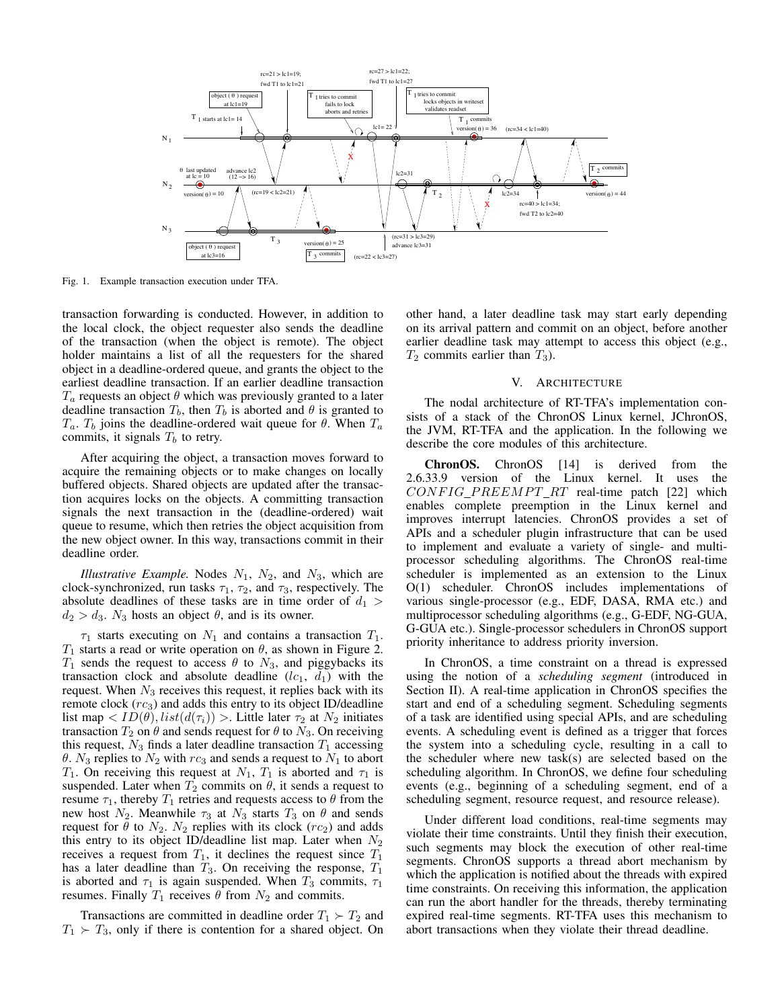

Fig. 1. Example transaction execution under TFA.

transaction forwarding is conducted. However, in addition to the local clock, the object requester also sends the deadline of the transaction (when the object is remote). The object holder maintains a list of all the requesters for the shared object in a deadline-ordered queue, and grants the object to the earliest deadline transaction. If an earlier deadline transaction  $T_a$  requests an object  $\theta$  which was previously granted to a later deadline transaction  $T_b$ , then  $T_b$  is aborted and  $\theta$  is granted to  $T_a$ .  $T_b$  joins the deadline-ordered wait queue for  $\theta$ . When  $T_a$ commits, it signals  $T_b$  to retry.

After acquiring the object, a transaction moves forward to acquire the remaining objects or to make changes on locally buffered objects. Shared objects are updated after the transaction acquires locks on the objects. A committing transaction signals the next transaction in the (deadline-ordered) wait queue to resume, which then retries the object acquisition from the new object owner. In this way, transactions commit in their deadline order.

*Illustrative Example.* Nodes  $N_1$ ,  $N_2$ , and  $N_3$ , which are clock-synchronized, run tasks  $\tau_1$ ,  $\tau_2$ , and  $\tau_3$ , respectively. The absolute deadlines of these tasks are in time order of  $d_1$  >  $d_2 > d_3$ . N<sub>3</sub> hosts an object  $\theta$ , and is its owner.

 $\tau_1$  starts executing on  $N_1$  and contains a transaction  $T_1$ .  $T_1$  starts a read or write operation on  $\theta$ , as shown in Figure 2.  $T_1$  sends the request to access  $\theta$  to  $N_3$ , and piggybacks its transaction clock and absolute deadline  $(lc_1, d_1)$  with the request. When  $N_3$  receives this request, it replies back with its remote clock  $(rc_3)$  and adds this entry to its object ID/deadline list map  $\langle ID(\theta), list(d(\tau_i)) \rangle$ . Little later  $\tau_2$  at  $N_2$  initiates transaction  $T_2$  on  $\theta$  and sends request for  $\theta$  to  $N_3$ . On receiving this request,  $N_3$  finds a later deadline transaction  $T_1$  accessing  $\theta$ . N<sub>3</sub> replies to N<sub>2</sub> with  $rc_3$  and sends a request to N<sub>1</sub> to abort  $T_1$ . On receiving this request at  $N_1$ ,  $T_1$  is aborted and  $\tau_1$  is suspended. Later when  $T_2$  commits on  $\theta$ , it sends a request to resume  $\tau_1$ , thereby  $T_1$  retries and requests access to  $\theta$  from the new host  $N_2$ . Meanwhile  $\tau_3$  at  $N_3$  starts  $T_3$  on  $\theta$  and sends request for  $\theta$  to  $N_2$ .  $N_2$  replies with its clock (rc<sub>2</sub>) and adds this entry to its object ID/deadline list map. Later when  $N_2$ receives a request from  $T_1$ , it declines the request since  $T_1$ has a later deadline than  $T_3$ . On receiving the response,  $T_1$ is aborted and  $\tau_1$  is again suspended. When  $T_3$  commits,  $\tau_1$ resumes. Finally  $T_1$  receives  $\theta$  from  $N_2$  and commits.

Transactions are committed in deadline order  $T_1 \succ T_2$  and  $T_1 \succ T_3$ , only if there is contention for a shared object. On other hand, a later deadline task may start early depending on its arrival pattern and commit on an object, before another earlier deadline task may attempt to access this object (e.g.,  $T_2$  commits earlier than  $T_3$ ).

#### V. ARCHITECTURE

The nodal architecture of RT-TFA's implementation consists of a stack of the ChronOS Linux kernel, JChronOS, the JVM, RT-TFA and the application. In the following we describe the core modules of this architecture.

ChronOS. ChronOS [14] is derived from the 2.6.33.9 version of the Linux kernel. It uses the  $CONFIG\_PREEMPT\_RT$  real-time patch [22] which enables complete preemption in the Linux kernel and improves interrupt latencies. ChronOS provides a set of APIs and a scheduler plugin infrastructure that can be used to implement and evaluate a variety of single- and multiprocessor scheduling algorithms. The ChronOS real-time scheduler is implemented as an extension to the Linux O(1) scheduler. ChronOS includes implementations of various single-processor (e.g., EDF, DASA, RMA etc.) and multiprocessor scheduling algorithms (e.g., G-EDF, NG-GUA, G-GUA etc.). Single-processor schedulers in ChronOS support priority inheritance to address priority inversion.

In ChronOS, a time constraint on a thread is expressed using the notion of a *scheduling segment* (introduced in Section II). A real-time application in ChronOS specifies the start and end of a scheduling segment. Scheduling segments of a task are identified using special APIs, and are scheduling events. A scheduling event is defined as a trigger that forces the system into a scheduling cycle, resulting in a call to the scheduler where new task(s) are selected based on the scheduling algorithm. In ChronOS, we define four scheduling events (e.g., beginning of a scheduling segment, end of a scheduling segment, resource request, and resource release).

Under different load conditions, real-time segments may violate their time constraints. Until they finish their execution, such segments may block the execution of other real-time segments. ChronOS supports a thread abort mechanism by which the application is notified about the threads with expired time constraints. On receiving this information, the application can run the abort handler for the threads, thereby terminating expired real-time segments. RT-TFA uses this mechanism to abort transactions when they violate their thread deadline.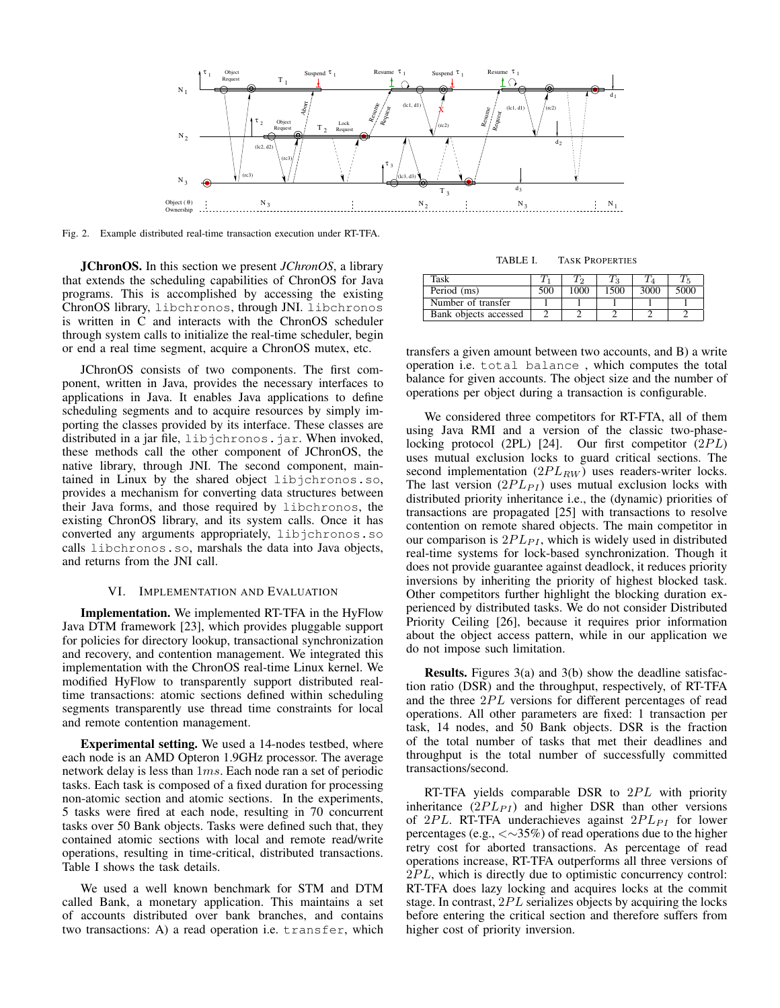

Fig. 2. Example distributed real-time transaction execution under RT-TFA.

JChronOS. In this section we present *JChronOS*, a library that extends the scheduling capabilities of ChronOS for Java programs. This is accomplished by accessing the existing ChronOS library, libchronos, through JNI. libchronos is written in C and interacts with the ChronOS scheduler through system calls to initialize the real-time scheduler, begin or end a real time segment, acquire a ChronOS mutex, etc.

JChronOS consists of two components. The first component, written in Java, provides the necessary interfaces to applications in Java. It enables Java applications to define scheduling segments and to acquire resources by simply importing the classes provided by its interface. These classes are distributed in a jar file, libjchronos.jar. When invoked, these methods call the other component of JChronOS, the native library, through JNI. The second component, maintained in Linux by the shared object libjchronos.so, provides a mechanism for converting data structures between their Java forms, and those required by libchronos, the existing ChronOS library, and its system calls. Once it has converted any arguments appropriately, libjchronos.so calls libchronos.so, marshals the data into Java objects, and returns from the JNI call.

#### VI. IMPLEMENTATION AND EVALUATION

Implementation. We implemented RT-TFA in the HyFlow Java DTM framework [23], which provides pluggable support for policies for directory lookup, transactional synchronization and recovery, and contention management. We integrated this implementation with the ChronOS real-time Linux kernel. We modified HyFlow to transparently support distributed realtime transactions: atomic sections defined within scheduling segments transparently use thread time constraints for local and remote contention management.

Experimental setting. We used a 14-nodes testbed, where each node is an AMD Opteron 1.9GHz processor. The average network delay is less than  $1ms$ . Each node ran a set of periodic tasks. Each task is composed of a fixed duration for processing non-atomic section and atomic sections. In the experiments, 5 tasks were fired at each node, resulting in 70 concurrent tasks over 50 Bank objects. Tasks were defined such that, they contained atomic sections with local and remote read/write operations, resulting in time-critical, distributed transactions. Table I shows the task details.

We used a well known benchmark for STM and DTM called Bank, a monetary application. This maintains a set of accounts distributed over bank branches, and contains two transactions: A) a read operation i.e. transfer, which

TABLE I. TASK PROPERTIES

| Task                  |     |      |      |      |          |
|-----------------------|-----|------|------|------|----------|
| Period (ms)           | 500 | 1000 | 1500 | 3000 | $\Omega$ |
| Number of transfer    |     |      |      |      |          |
| Bank objects accessed |     |      |      |      |          |

transfers a given amount between two accounts, and B) a write operation i.e. total balance , which computes the total balance for given accounts. The object size and the number of operations per object during a transaction is configurable.

We considered three competitors for RT-FTA, all of them using Java RMI and a version of the classic two-phaselocking protocol (2PL) [24]. Our first competitor  $(2PL)$ uses mutual exclusion locks to guard critical sections. The second implementation  $(2PL_{RW})$  uses readers-writer locks. The last version  $(2PL_{PI})$  uses mutual exclusion locks with distributed priority inheritance i.e., the (dynamic) priorities of transactions are propagated [25] with transactions to resolve contention on remote shared objects. The main competitor in our comparison is  $2PL_{PI}$ , which is widely used in distributed real-time systems for lock-based synchronization. Though it does not provide guarantee against deadlock, it reduces priority inversions by inheriting the priority of highest blocked task. Other competitors further highlight the blocking duration experienced by distributed tasks. We do not consider Distributed Priority Ceiling [26], because it requires prior information about the object access pattern, while in our application we do not impose such limitation.

Results. Figures 3(a) and 3(b) show the deadline satisfaction ratio (DSR) and the throughput, respectively, of RT-TFA and the three  $2PL$  versions for different percentages of read operations. All other parameters are fixed: 1 transaction per task, 14 nodes, and 50 Bank objects. DSR is the fraction of the total number of tasks that met their deadlines and throughput is the total number of successfully committed transactions/second.

RT-TFA yields comparable DSR to  $2PL$  with priority inheritance  $(2PL_{PI})$  and higher DSR than other versions of 2PL. RT-TFA underachieves against  $2PL_{PI}$  for lower percentages (e.g., <∼35%) of read operations due to the higher retry cost for aborted transactions. As percentage of read operations increase, RT-TFA outperforms all three versions of  $2PL$ , which is directly due to optimistic concurrency control: RT-TFA does lazy locking and acquires locks at the commit stage. In contrast,  $2PL$  serializes objects by acquiring the locks before entering the critical section and therefore suffers from higher cost of priority inversion.